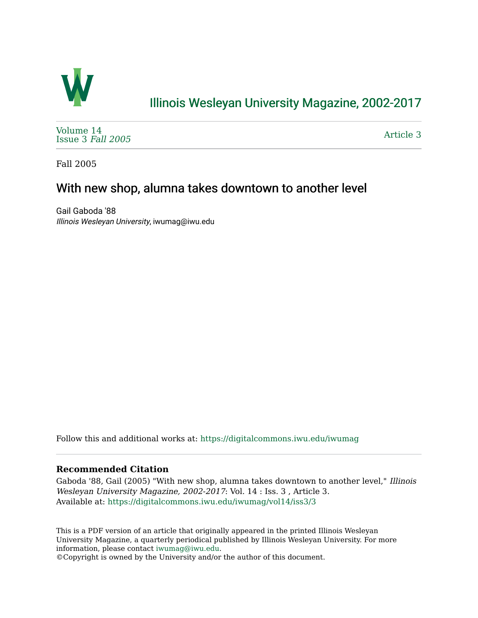

# [Illinois Wesleyan University Magazine, 2002-2017](https://digitalcommons.iwu.edu/iwumag)

[Volume 14](https://digitalcommons.iwu.edu/iwumag/vol14)  [Issue 3](https://digitalcommons.iwu.edu/iwumag/vol14/iss3) Fall 2005

[Article 3](https://digitalcommons.iwu.edu/iwumag/vol14/iss3/3) 

Fall 2005

## With new shop, alumna takes downtown to another level

Gail Gaboda '88 Illinois Wesleyan University, iwumag@iwu.edu

Follow this and additional works at: [https://digitalcommons.iwu.edu/iwumag](https://digitalcommons.iwu.edu/iwumag?utm_source=digitalcommons.iwu.edu%2Fiwumag%2Fvol14%2Fiss3%2F3&utm_medium=PDF&utm_campaign=PDFCoverPages) 

#### **Recommended Citation**

Gaboda '88, Gail (2005) "With new shop, alumna takes downtown to another level," Illinois Wesleyan University Magazine, 2002-2017: Vol. 14 : Iss. 3 , Article 3. Available at: [https://digitalcommons.iwu.edu/iwumag/vol14/iss3/3](https://digitalcommons.iwu.edu/iwumag/vol14/iss3/3?utm_source=digitalcommons.iwu.edu%2Fiwumag%2Fvol14%2Fiss3%2F3&utm_medium=PDF&utm_campaign=PDFCoverPages)

This is a PDF version of an article that originally appeared in the printed Illinois Wesleyan University Magazine, a quarterly periodical published by Illinois Wesleyan University. For more information, please contact [iwumag@iwu.edu](mailto:iwumag@iwu.edu).

©Copyright is owned by the University and/or the author of this document.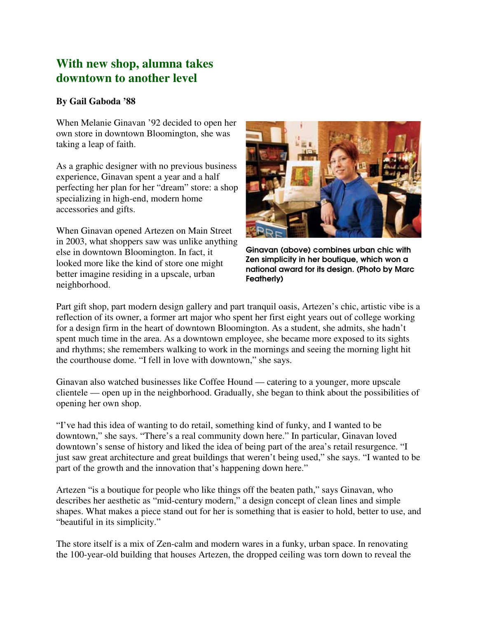### **With new shop, alumna takes downtown to another level**

### **By Gail Gaboda '88**

When Melanie Ginavan '92 decided to open her own store in downtown Bloomington, she was taking a leap of faith.

As a graphic designer with no previous business experience, Ginavan spent a year and a half perfecting her plan for her "dream" store: a shop specializing in high-end, modern home accessories and gifts.

When Ginavan opened Artezen on Main Street in 2003, what shoppers saw was unlike anything else in downtown Bloomington. In fact, it looked more like the kind of store one might better imagine residing in a upscale, urban neighborhood.



Ginavan (above) combines urban chic with Zen simplicity in her boutique, which won a national award for its design. (Photo by Marc Featherly)

Part gift shop, part modern design gallery and part tranquil oasis, Artezen's chic, artistic vibe is a reflection of its owner, a former art major who spent her first eight years out of college working for a design firm in the heart of downtown Bloomington. As a student, she admits, she hadn't spent much time in the area. As a downtown employee, she became more exposed to its sights and rhythms; she remembers walking to work in the mornings and seeing the morning light hit the courthouse dome. "I fell in love with downtown," she says.

Ginavan also watched businesses like Coffee Hound — catering to a younger, more upscale clientele — open up in the neighborhood. Gradually, she began to think about the possibilities of opening her own shop.

"I've had this idea of wanting to do retail, something kind of funky, and I wanted to be downtown," she says. "There's a real community down here." In particular, Ginavan loved downtown's sense of history and liked the idea of being part of the area's retail resurgence. "I just saw great architecture and great buildings that weren't being used," she says. "I wanted to be part of the growth and the innovation that's happening down here."

Artezen "is a boutique for people who like things off the beaten path," says Ginavan, who describes her aesthetic as "mid-century modern," a design concept of clean lines and simple shapes. What makes a piece stand out for her is something that is easier to hold, better to use, and "beautiful in its simplicity."

The store itself is a mix of Zen-calm and modern wares in a funky, urban space. In renovating the 100-year-old building that houses Artezen, the dropped ceiling was torn down to reveal the